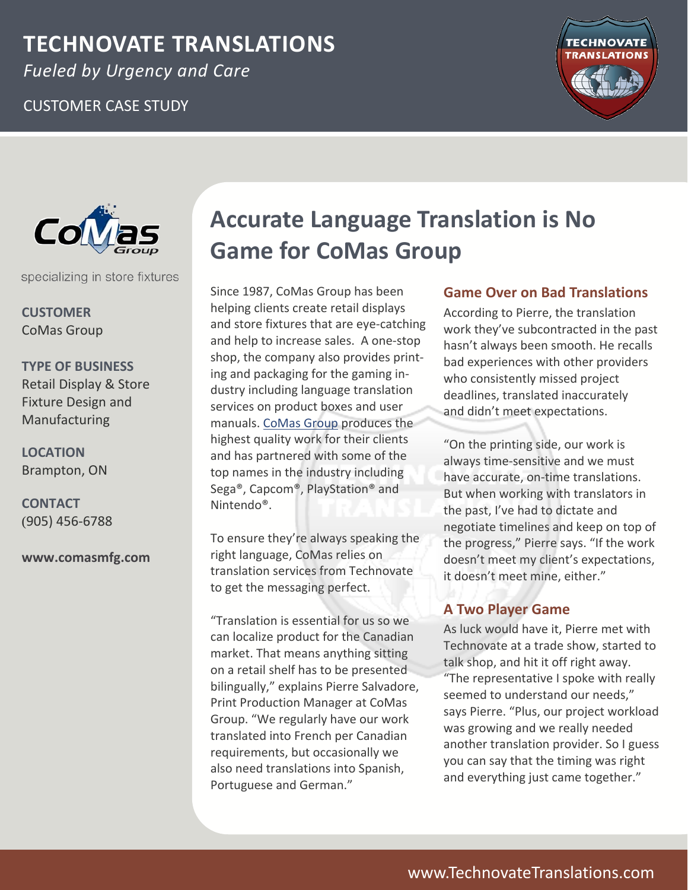## **TECHNOVATE TRANSLATIONS**

*Fueled by Urgency and Care*

## CUSTOMER CASE STUDY





specializing in store fixtures

**CUSTOMER** CoMas Group

**TYPE OF BUSINESS** Retail Display & Store Fixture Design and Manufacturing

**LOCATION** Brampton, ON

**CONTACT** (905) 456‐6788

**www.comasmfg.com** 

# **Accurate Language Translation is No Game for CoMas Group**

Since 1987, CoMas Group has been helping clients create retail displays and store fixtures that are eye‐catching and help to increase sales. A one‐stop shop, the company also provides print‐ ing and packaging for the gaming in‐ dustry including language translation services on product boxes and user manuals. [CoMas](http://comasmfg.com/) Group produces the highest quality work for their clients and has partnered with some of the top names in the industry including Sega®, Capcom®, PlayStation® and Nintendo®.

To ensure they're always speaking the right language, CoMas relies on translation services from Technovate to get the messaging perfect.

"Translation is essential for us so we can localize product for the Canadian market. That means anything sitting on a retail shelf has to be presented bilingually," explains Pierre Salvadore, Print Production Manager at CoMas Group. "We regularly have our work translated into French per Canadian requirements, but occasionally we also need translations into Spanish, Portuguese and German."

### **Game Over on Bad Translations**

According to Pierre, the translation work they've subcontracted in the past hasn't always been smooth. He recalls bad experiences with other providers who consistently missed project deadlines, translated inaccurately and didn't meet expectations.

"On the printing side, our work is always time‐sensitive and we must have accurate, on-time translations. But when working with translators in the past, I've had to dictate and negotiate timelines and keep on top of the progress," Pierre says. "If the work doesn't meet my client's expectations, it doesn't meet mine, either."

## **A Two Player Game**

As luck would have it, Pierre met with Technovate at a trade show, started to talk shop, and hit it off right away. "The representative I spoke with really seemed to understand our needs," says Pierre. "Plus, our project workload was growing and we really needed another translation provider. So I guess you can say that the timing was right and everything just came together."